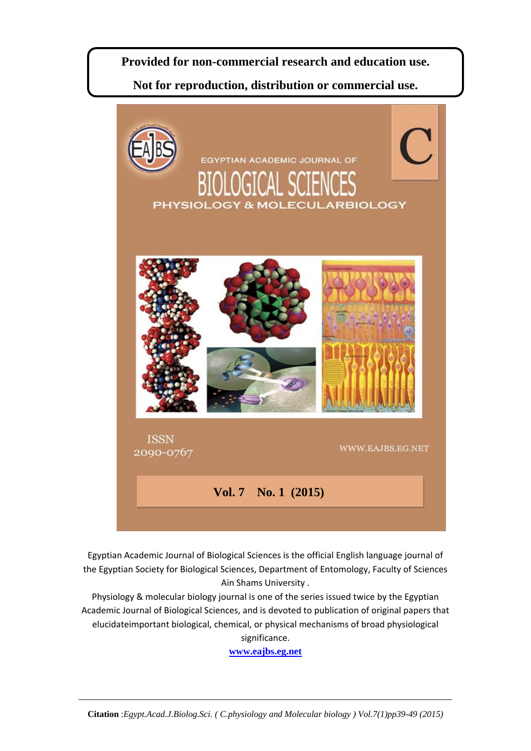# **Provided for non-commercial research and education use.**

**Not for reproduction, distribution or commercial use.** 



Egyptian Academic Journal of Biological Sciences is the official English language journal of the Egyptian Society for Biological Sciences, Department of Entomology, Faculty of Sciences Ain Shams University .

Physiology & molecular biology journal is one of the series issued twice by the Egyptian Academic Journal of Biological Sciences, and is devoted to publication of original papers that elucidateimportant biological, chemical, or physical mechanisms of broad physiological significance.

**www.eajbs.eg.net**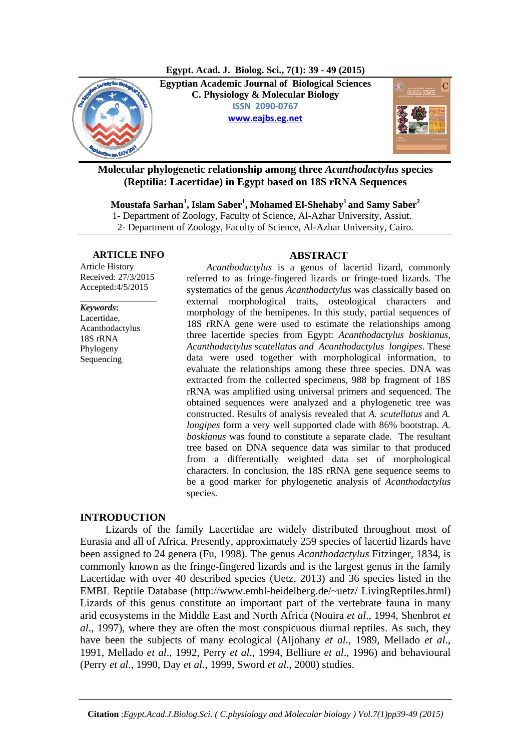**Egypt. Acad. J. Biolog. Sci., 7(1): 39 - 49 (2015)**



**Egyptian Academic Journal of Biological Sciences C. Physiology & Molecular Biology ISSN 2090-0767 www.eajbs.eg.net**



**Molecular phylogenetic relationship among three** *Acanthodactylus* **species (Reptilia: Lacertidae) in Egypt based on 18S rRNA Sequences** 

**Moustafa Sarhan<sup>1</sup> , Islam Saber1 , Mohamed El-Shehaby1 and Samy Saber2**

1- Department of Zoology, Faculty of Science, Al-Azhar University, Assiut.

2- Department of Zoology, Faculty of Science, Al-Azhar University, Cairo.

#### **ARTICLE INFO ABSTRACT**

Article History Received: 27/3/2015 Accepted:4/5/2015

*\_\_\_\_\_\_\_\_\_\_\_\_\_\_\_\_\_*

*Keywords***:**  Lacertidae,

Acanthodactylus 18S rRNA Phylogeny **Sequencing** 

*Acanthodactylus* is a genus of lacertid lizard, commonly referred to as fringe-fingered lizards or fringe-toed lizards. The systematics of the genus *Acanthodactylus* was classically based on external morphological traits, osteological characters and morphology of the hemipenes. In this study, partial sequences of 18S rRNA gene were used to estimate the relationships among three lacertide species from Egypt: *Acanthodactylus boskianus, Acanthodactylus scutellatus and Acanthodactylus longipes*. These data were used together with morphological information, to evaluate the relationships among these three species. DNA was extracted from the collected specimens, 988 bp fragment of 18S rRNA was amplified using universal primers and sequenced. The obtained sequences were analyzed and a phylogenetic tree was constructed. Results of analysis revealed that *A. scutellatus* and *A. longipes* form a very well supported clade with 86% bootstrap. *A. boskianus* was found to constitute a separate clade. The resultant tree based on DNA sequence data was similar to that produced from a differentially weighted data set of morphological characters. In conclusion, the 18S rRNA gene sequence seems to be a good marker for phylogenetic analysis of *Acanthodactylus* species.

# **INTRODUCTION**

Lizards of the family Lacertidae are widely distributed throughout most of Eurasia and all of Africa. Presently, approximately 259 species of lacertid lizards have been assigned to 24 genera (Fu, 1998). The genus *Acanthodactylus* Fitzinger, 1834, is commonly known as the fringe-fingered lizards and is the largest genus in the family Lacertidae with over 40 described species (Uetz, 2013) and 36 species listed in the EMBL Reptile Database (http://www.embl-heidelberg.de/~uetz/ LivingReptiles.html) Lizards of this genus constitute an important part of the vertebrate fauna in many arid ecosystems in the Middle East and North Africa (Nouira *et al*., 1994, Shenbrot *et al*., 1997), where they are often the most conspicuous diurnal reptiles. As such, they have been the subjects of many ecological (Aljohany *et al*., 1989, Mellado *et al*., 1991, Mellado *et al*., 1992, Perry *et al*., 1994, Belliure *et al*., 1996) and behavioural (Perry *et al*., 1990, Day *et al*., 1999, Sword *et al*., 2000) studies.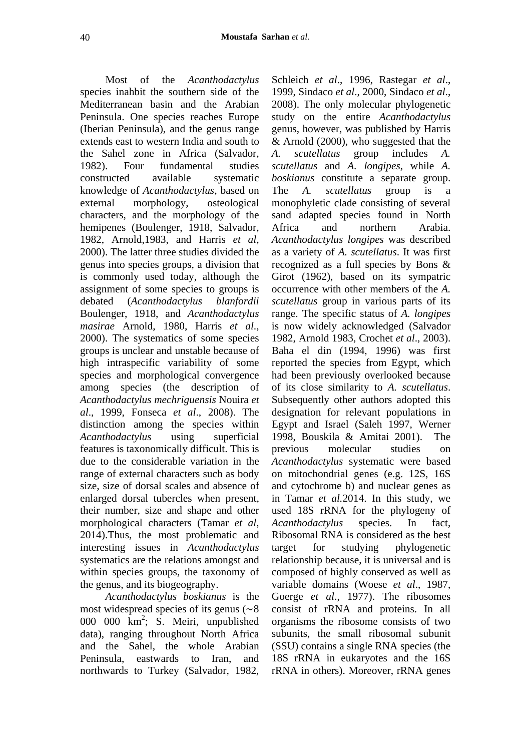Most of the *Acanthodactylus* species inahbit the southern side of the Mediterranean basin and the Arabian Peninsula. One species reaches Europe (Iberian Peninsula), and the genus range extends east to western India and south to the Sahel zone in Africa (Salvador, 1982). Four fundamental studies constructed available systematic knowledge of *Acanthodactylus*, based on external morphology, osteological characters, and the morphology of the hemipenes (Boulenger, 1918, Salvador, 1982, Arnold,1983, and Harris *et al*, 2000). The latter three studies divided the genus into species groups, a division that is commonly used today, although the assignment of some species to groups is debated (*Acanthodactylus blanfordii*  Boulenger, 1918, and *Acanthodactylus masirae* Arnold, 1980, Harris *et al*., 2000). The systematics of some species groups is unclear and unstable because of high intraspecific variability of some species and morphological convergence among species (the description of *Acanthodactylus mechriguensis* Nouira *et al*., 1999, Fonseca *et al*., 2008). The distinction among the species within *Acanthodactylus* using superficial features is taxonomically difficult. This is due to the considerable variation in the range of external characters such as body size, size of dorsal scales and absence of enlarged dorsal tubercles when present, their number, size and shape and other morphological characters (Tamar *et al*, 2014).Thus, the most problematic and interesting issues in *Acanthodactylus*  systematics are the relations amongst and within species groups, the taxonomy of the genus, and its biogeography.

*Acanthodactylus boskianus* is the most widespread species of its genus  $(\sim 8)$ 000 000 km2 ; S. Meiri, unpublished data), ranging throughout North Africa and the Sahel, the whole Arabian Peninsula, eastwards to Iran, and northwards to Turkey (Salvador, 1982,

Schleich *et al*., 1996, Rastegar *et al*., 1999, Sindaco *et al*., 2000, Sindaco *et al*., 2008). The only molecular phylogenetic study on the entire *Acanthodactylus*  genus, however, was published by Harris & Arnold (2000), who suggested that the *A. scutellatus* group includes *A. scutellatus* and *A. longipes*, while *A. boskianus* constitute a separate group. The *A. scutellatus* group is a monophyletic clade consisting of several sand adapted species found in North Africa and northern Arabia. *Acanthodactylus longipes* was described as a variety of *A. scutellatus*. It was first recognized as a full species by Bons & Girot (1962), based on its sympatric occurrence with other members of the *A. scutellatus* group in various parts of its range. The specific status of *A. longipes* is now widely acknowledged (Salvador 1982, Arnold 1983, Crochet *et al*., 2003). Baha el din (1994, 1996) was first reported the species from Egypt, which had been previously overlooked because of its close similarity to *A. scutellatus*. Subsequently other authors adopted this designation for relevant populations in Egypt and Israel (Saleh 1997, Werner 1998, Bouskila & Amitai 2001). The previous molecular studies on *Acanthodactylus* systematic were based on mitochondrial genes (e.g. 12S, 16S and cytochrome b) and nuclear genes as in Tamar *et al.*2014. In this study, we used 18S rRNA for the phylogeny of *Acanthodactylus* species. In fact, Ribosomal RNA is considered as the best target for studying phylogenetic relationship because, it is universal and is composed of highly conserved as well as variable domains (Woese *et al*., 1987, Goerge *et al*., 1977). The ribosomes consist of rRNA and proteins. In all organisms the ribosome consists of two subunits, the small ribosomal subunit (SSU) contains a single RNA species (the 18S rRNA in eukaryotes and the 16S rRNA in others). Moreover, rRNA genes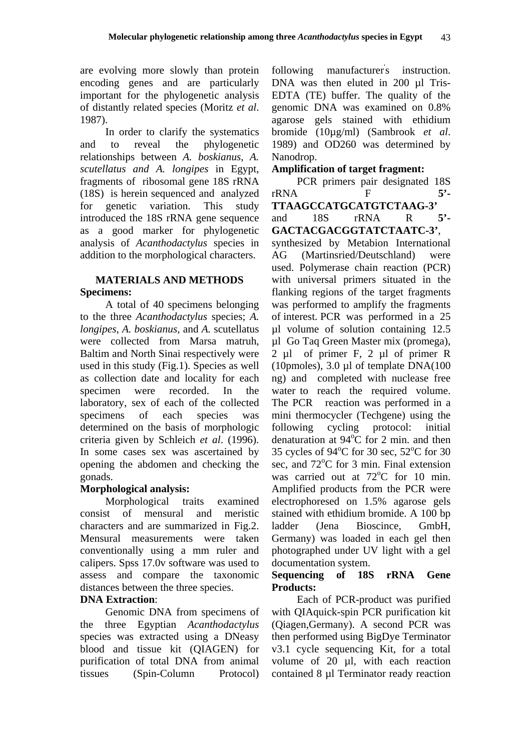are evolving more slowly than protein encoding genes and are particularly important for the phylogenetic analysis of distantly related species (Moritz *et al*. 1987).

In order to clarify the systematics and to reveal the phylogenetic relationships between *A. boskianus, A. scutellatus and A. longipes* in Egypt, fragments of ribosomal gene 18S rRNA (18S) is herein sequenced and analyzed for genetic variation. This study introduced the 18S rRNA gene sequence as a good marker for phylogenetic analysis of *Acanthodactylus* species in addition to the morphological characters.

### **MATERIALS AND METHODS Specimens:**

A total of 40 specimens belonging to the three *Acanthodactylus* species; *A. longipes, A. boskianus,* and *A.* scutellatus were collected from Marsa matruh, Baltim and North Sinai respectively were used in this study (Fig.1). Species as well as collection date and locality for each specimen were recorded. In the laboratory, sex of each of the collected specimens of each species was determined on the basis of morphologic criteria given by Schleich *et al*. (1996). In some cases sex was ascertained by opening the abdomen and checking the gonads.

# **Morphological analysis:**

Morphological traits examined consist of mensural and meristic characters and are summarized in Fig.2. Mensural measurements were taken conventionally using a mm ruler and calipers. Spss 17.0v software was used to assess and compare the taxonomic distances between the three species.

# **DNA Extraction**:

Genomic DNA from specimens of the three Egyptian *Acanthodactylus* species was extracted using a DNeasy blood and tissue kit (QIAGEN) for purification of total DNA from animal tissues (Spin-Column Protocol)

following manufacturer's instruction. DNA was then eluted in 200 µl Tris-EDTA (TE) buffer. The quality of the genomic DNA was examined on 0.8% agarose gels stained with ethidium bromide (10µg/ml) (Sambrook *et al*. 1989) and OD260 was determined by Nanodrop.

# **Amplification of target fragment:**

PCR primers pair designated 18S rRNA F **5'- TTAAGCCATGCATGTCTAAG-3'** and 18S rRNA R **5'- GACTACGACGGTATCTAATC-3'**, synthesized by Metabion International

AG (Martinsried/Deutschland) were used. Polymerase chain reaction (PCR) with universal primers situated in the flanking regions of the target fragments was performed to amplify the fragments of interest. PCR was performed in a 25 µl volume of solution containing 12.5 µl Go Taq Green Master mix (promega), 2 µl of primer F, 2 µl of primer R (10pmoles),  $3.0 \mu l$  of template DNA(100) ng) and completed with nuclease free water to reach the required volume. The PCR reaction was performed in a mini thermocycler (Techgene) using the following cycling protocol: initial denaturation at  $94^{\circ}$ C for 2 min. and then 35 cycles of 94°C for 30 sec, 52°C for 30 sec, and 72°C for 3 min. Final extension was carried out at 72°C for 10 min. Amplified products from the PCR were electrophoresed on 1.5% agarose gels stained with ethidium bromide. A 100 bp ladder (Jena Bioscince, GmbH, Germany) was loaded in each gel then photographed under UV light with a gel documentation system.

# **Sequencing of 18S rRNA Gene Products:**

Each of PCR-product was purified with QIAquick-spin PCR purification kit (Qiagen,Germany). A second PCR was then performed using BigDye Terminator v3.1 cycle sequencing Kit, for a total volume of 20 µl, with each reaction contained 8 µl Terminator ready reaction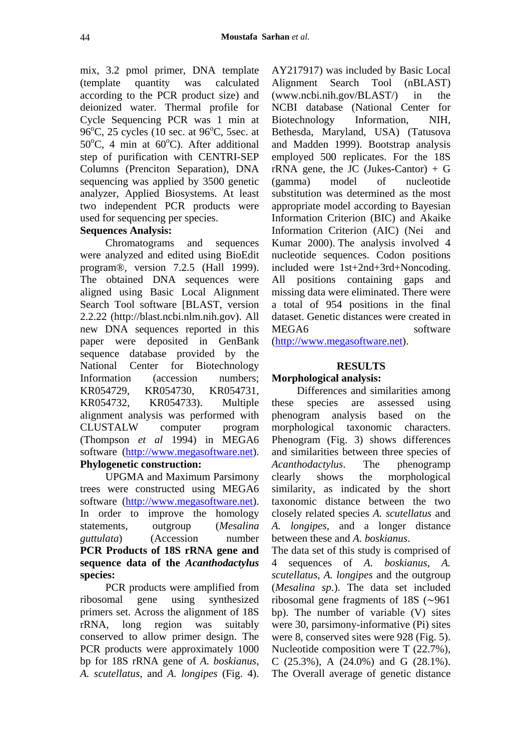mix, 3.2 pmol primer, DNA template (template quantity was calculated according to the PCR product size) and deionized water. Thermal profile for Cycle Sequencing PCR was 1 min at  $96^{\circ}$ C, 25 cycles (10 sec. at  $96^{\circ}$ C, 5sec. at  $50^{\circ}$ C, 4 min at  $60^{\circ}$ C). After additional step of purification with CENTRI-SEP Columns (Prenciton Separation), DNA sequencing was applied by 3500 genetic analyzer, Applied Biosystems. At least two independent PCR products were used for sequencing per species.

### **Sequences Analysis:**

Chromatograms and sequences were analyzed and edited using BioEdit program®, version 7.2.5 (Hall 1999). The obtained DNA sequences were aligned using Basic Local Alignment Search Tool software [BLAST, version 2.2.22 (http://blast.ncbi.nlm.nih.gov). All new DNA sequences reported in this paper were deposited in GenBank sequence database provided by the National Center for Biotechnology Information (accession numbers; KR054729, KR054730, KR054731, KR054732, KR054733). Multiple alignment analysis was performed with CLUSTALW computer program (Thompson *et al* 1994) in MEGA6 software (http://www.megasoftware.net). **Phylogenetic construction:**

# UPGMA and Maximum Parsimony trees were constructed using MEGA6 software (http://www.megasoftware.net). In order to improve the homology statements, outgroup (*Mesalina*

*guttulata*) (Accession number **PCR Products of 18S rRNA gene and sequence data of the** *Acanthodactylus* **species:**

PCR products were amplified from ribosomal gene using synthesized primers set. Across the alignment of 18S rRNA, long region was suitably conserved to allow primer design. The PCR products were approximately 1000 bp for 18S rRNA gene of *A. boskianus*, *A. scutellatus*, and *A. longipes* (Fig. 4).

AY217917) was included by Basic Local Alignment Search Tool (nBLAST) (www.ncbi.nih.gov/BLAST/) in the NCBI database (National Center for Biotechnology Information, NIH, Bethesda, Maryland, USA) (Tatusova and Madden 1999). Bootstrap analysis employed 500 replicates. For the 18S rRNA gene, the JC (Jukes-Cantor)  $+$  G (gamma) model of nucleotide substitution was determined as the most appropriate model according to Bayesian Information Criterion (BIC) and Akaike Information Criterion (AIC) (Nei and Kumar 2000). The analysis involved 4 nucleotide sequences. Codon positions included were 1st+2nd+3rd+Noncoding. All positions containing gaps and missing data were eliminated. There were a total of 954 positions in the final dataset. Genetic distances were created in MEGA6 software

(http://www.megasoftware.net).

#### **RESULTS**

#### **Morphological analysis:**

Differences and similarities among these species are assessed using phenogram analysis based on the morphological taxonomic characters. Phenogram (Fig. 3) shows differences and similarities between three species of *Acanthodactylus*. The phenogramp clearly shows the morphological similarity, as indicated by the short taxonomic distance between the two closely related species *A. scutellatus* and *A. longipes*, and a longer distance between these and *A. boskianus*.

The data set of this study is comprised of 4 sequences of *A. boskianus, A. scutellatus, A. longipes* and the outgroup (*Mesalina sp*.). The data set included ribosomal gene fragments of 18S  $(\sim)$ 961 bp). The number of variable (V) sites were 30, parsimony-informative (Pi) sites were 8, conserved sites were 928 (Fig. 5). Nucleotide composition were T (22.7%), C (25.3%), A (24.0%) and G (28.1%). The Overall average of genetic distance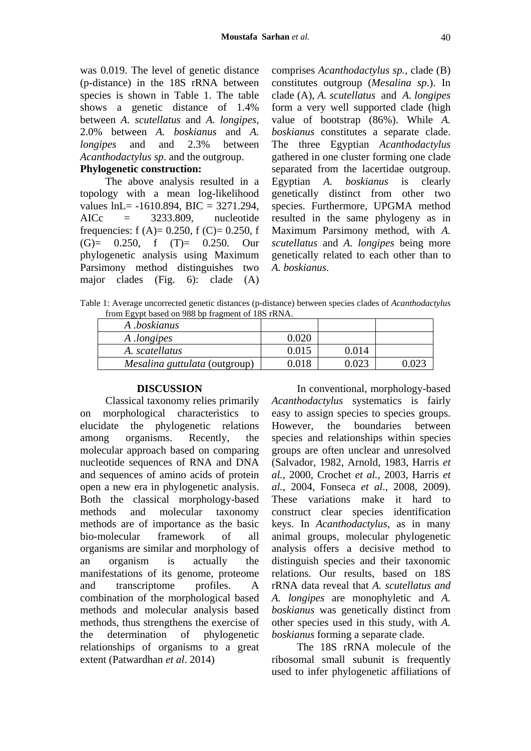was 0.019. The level of genetic distance (p-distance) in the 18S rRNA between species is shown in Table 1. The table shows a genetic distance of 1.4% between *A. scutellatus* and *A. longipes,* 2.0% between *A. boskianus* and *A. longipes* and and 2.3% between *Acanthodactylus sp*. and the outgroup.

# **Phylogenetic construction:**

The above analysis resulted in a topology with a mean log-likelihood values lnL= -1610.894, BIC = 3271.294, AICc = 3233.809, nucleotide frequencies: f  $(A)= 0.250$ , f  $(C)= 0.250$ , f  $(G) = 0.250$ , f  $(T) = 0.250$ . Our phylogenetic analysis using Maximum Parsimony method distinguishes two major clades (Fig. 6): clade (A) comprises *Acanthodactylus sp.,* clade (B) constitutes outgroup (*Mesalina sp*.). In clade (A), *A. scutellatus* and *A. longipes* form a very well supported clade (high value of bootstrap (86%). While *A. boskianus* constitutes a separate clade. The three Egyptian *Acanthodactylus* gathered in one cluster forming one clade separated from the lacertidae outgroup. Egyptian *A. boskianus* is clearly genetically distinct from other two species. Furthermore, UPGMA method resulted in the same phylogeny as in Maximum Parsimony method, with *A. scutellatus* and *A. longipes* being more genetically related to each other than to *A. boskianus*.

Table 1: Average uncorrected genetic distances (p-distance) between species clades of *Acanthodactylus*  from Egypt based on 988 bp fragment of 18S rRNA.

| A .boskianus                  |       |       |  |
|-------------------------------|-------|-------|--|
| A <i>longipes</i>             | ).020 |       |  |
| A. scatellatus                | 0.015 | 0.014 |  |
| Mesalina guttulata (outgroup) | ).018 | በ በ23 |  |

#### **DISCUSSION**

Classical taxonomy relies primarily on morphological characteristics to elucidate the phylogenetic relations among organisms. Recently, the molecular approach based on comparing nucleotide sequences of RNA and DNA and sequences of amino acids of protein open a new era in phylogenetic analysis. Both the classical morphology-based methods and molecular taxonomy methods are of importance as the basic bio-molecular framework of all organisms are similar and morphology of an organism is actually the manifestations of its genome, proteome and transcriptome profiles. A combination of the morphological based methods and molecular analysis based methods, thus strengthens the exercise of the determination of phylogenetic relationships of organisms to a great extent (Patwardhan *et al*. 2014)

In conventional, morphology-based *Acanthodactylus* systematics is fairly easy to assign species to species groups. However, the boundaries between species and relationships within species groups are often unclear and unresolved (Salvador, 1982, Arnold, 1983, Harris *et al.,* 2000, Crochet *et al.*, 2003, Harris *et al.*, 2004, Fonseca *et al*., 2008, 2009). These variations make it hard to construct clear species identification keys. In *Acanthodactylus,* as in many animal groups, molecular phylogenetic analysis offers a decisive method to distinguish species and their taxonomic relations. Our results, based on 18S rRNA data reveal that *A. scutellatus and A. longipes* are monophyletic and *A. boskianus* was genetically distinct from other species used in this study, with *A. boskianus* forming a separate clade.

The 18S rRNA molecule of the ribosomal small subunit is frequently used to infer phylogenetic affiliations of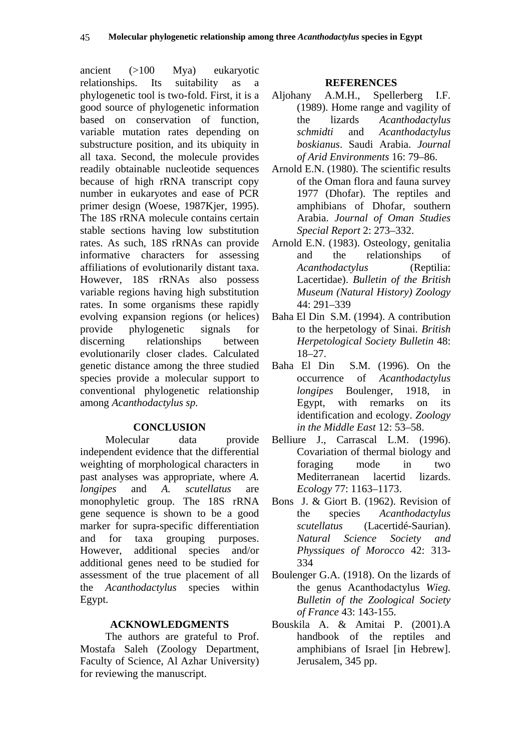ancient (>100 Mya) eukaryotic relationships. Its suitability as a phylogenetic tool is two-fold. First, it is a good source of phylogenetic information based on conservation of function, variable mutation rates depending on substructure position, and its ubiquity in all taxa. Second, the molecule provides readily obtainable nucleotide sequences because of high rRNA transcript copy number in eukaryotes and ease of PCR primer design (Woese, 1987Kjer, 1995). The 18S rRNA molecule contains certain stable sections having low substitution rates. As such, 18S rRNAs can provide informative characters for assessing affiliations of evolutionarily distant taxa. However, 18S rRNAs also possess variable regions having high substitution rates. In some organisms these rapidly evolving expansion regions (or helices) provide phylogenetic signals for discerning relationships between evolutionarily closer clades. Calculated genetic distance among the three studied species provide a molecular support to conventional phylogenetic relationship among *Acanthodactylus sp.*

#### **CONCLUSION**

Molecular data provide independent evidence that the differential weighting of morphological characters in past analyses was appropriate, where *A. longipes* and *A. scutellatus* are monophyletic group. The 18S rRNA gene sequence is shown to be a good marker for supra-specific differentiation and for taxa grouping purposes. However, additional species and/or additional genes need to be studied for assessment of the true placement of all the *Acanthodactylus* species within Egypt.

#### **ACKNOWLEDGMENTS**

The authors are grateful to Prof. Mostafa Saleh (Zoology Department, Faculty of Science, Al Azhar University) for reviewing the manuscript.

#### **REFERENCES**

- Aljohany A.M.H., Spellerberg I.F. (1989). Home range and vagility of the lizards *Acanthodactylus schmidti* and *Acanthodactylus boskianus*. Saudi Arabia. *Journal of Arid Environments* 16: 79–86.
- Arnold E.N. (1980). The scientific results of the Oman flora and fauna survey 1977 (Dhofar). The reptiles and amphibians of Dhofar, southern Arabia. *Journal of Oman Studies Special Report* 2: 273–332.
- Arnold E.N. (1983). Osteology, genitalia and the relationships of *Acanthodactylus* (Reptilia: Lacertidae). *Bulletin of the British Museum (Natural History) Zoology*  44: 291–339
- Baha El Din S.M. (1994). A contribution to the herpetology of Sinai. *British Herpetological Society Bulletin* 48: 18–27.
- Baha El Din S.M. (1996). On the occurrence of *Acanthodactylus longipes* Boulenger, 1918, in Egypt, with remarks on its identification and ecology. *Zoology in the Middle East* 12: 53–58.
- Belliure J., Carrascal L.M. (1996). Covariation of thermal biology and foraging mode in two Mediterranean lacertid lizards. *Ecology* 77: 1163–1173.
- Bons J. & Giort B. (1962). Revision of the species *Acanthodactylus scutellatus* (Lacertidé-Saurian). *Natural Science Society and Physsiques of Morocco* 42: 313- 334
- Boulenger G.A. (1918). On the lizards of the genus Acanthodactylus *Wieg. Bulletin of the Zoological Society of France* 43: 143-155.
- Bouskila A. & Amitai P. (2001).A handbook of the reptiles and amphibians of Israel [in Hebrew]. Jerusalem, 345 pp.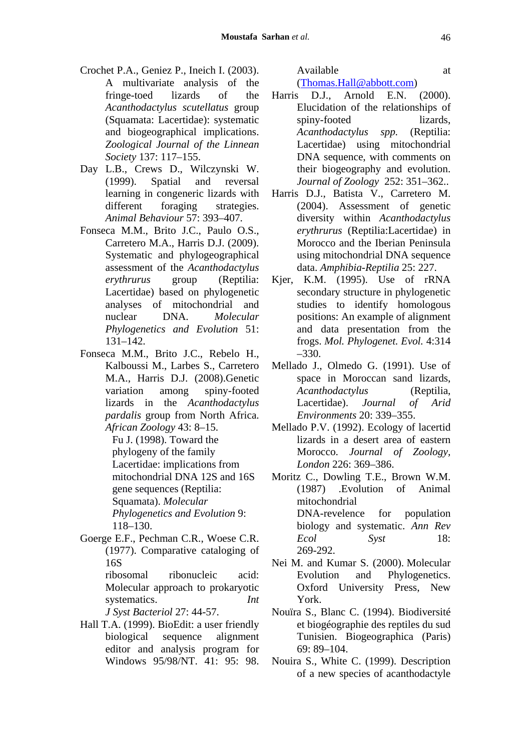- Crochet P.A., Geniez P., Ineich I. (2003). A multivariate analysis of the fringe-toed lizards of the *Acanthodactylus scutellatus* group (Squamata: Lacertidae): systematic and biogeographical implications. *Zoological Journal of the Linnean Society* 137: 117–155.
- Day L.B., Crews D., Wilczynski W. (1999). Spatial and reversal learning in congeneric lizards with different foraging strategies. *Animal Behaviour* 57: 393–407.
- Fonseca M.M., Brito J.C., Paulo O.S., Carretero M.A., Harris D.J. (2009). Systematic and phylogeographical assessment of the *Acanthodactylus erythrurus* group (Reptilia: Lacertidae) based on phylogenetic analyses of mitochondrial and nuclear DNA. *Molecular Phylogenetics and Evolution* 51: 131–142.
- Fonseca M.M., Brito J.C., Rebelo H., Kalboussi M., Larbes S., Carretero M.A., Harris D.J. (2008).Genetic variation among spiny-footed lizards in the *Acanthodactylus pardalis* group from North Africa. *African Zoology* 43: 8–15.

Fu J. (1998). Toward the phylogeny of the family Lacertidae: implications from mitochondrial DNA 12S and 16S gene sequences (Reptilia: Squamata). *Molecular Phylogenetics and Evolution* 9: 118–130.

Goerge E.F., Pechman C.R., Woese C.R. (1977). Comparative cataloging of 16S

> ribosomal ribonucleic acid: Molecular approach to prokaryotic systematics. *Int*

*J Syst Bacteriol* 27: 44-57.

Hall T.A. (1999). BioEdit: a user friendly biological sequence alignment editor and analysis program for Windows 95/98/NT. 41: 95: 98. Available at

(Thomas.Hall@abbott.com)

- Harris D.J., Arnold E.N. (2000). Elucidation of the relationships of spiny-footed lizards. *Acanthodactylus spp.* (Reptilia: Lacertidae) using mitochondrial DNA sequence, with comments on their biogeography and evolution. *Journal of Zoology* 252: 351–362..
- Harris D.J., Batista V., Carretero M. (2004). Assessment of genetic diversity within *Acanthodactylus erythrurus* (Reptilia:Lacertidae) in Morocco and the Iberian Peninsula using mitochondrial DNA sequence data. *Amphibia-Reptilia* 25: 227.
- Kjer, K.M. (1995). Use of rRNA secondary structure in phylogenetic studies to identify homologous positions: An example of alignment and data presentation from the frogs. *Mol. Phylogenet. Evol.* 4:314 –330.
- Mellado J., Olmedo G. (1991). Use of space in Moroccan sand lizards, *Acanthodactylus* (Reptilia, Lacertidae). *Journal of Arid Environments* 20: 339–355.
- Mellado P.V. (1992). Ecology of lacertid lizards in a desert area of eastern Morocco. *Journal of Zoology, London* 226: 369–386.

Moritz C., Dowling T.E., Brown W.M. (1987) .Evolution of Animal mitochondrial DNA-revelence for population biology and systematic. *Ann Rev Ecol Syst* 18: 269-292.

- Nei M. and Kumar S. (2000). Molecular Evolution and Phylogenetics. Oxford University Press, New York.
- Nouïra S., Blanc C. (1994). Biodiversité et biogéographie des reptiles du sud Tunisien. Biogeographica (Paris) 69: 89–104.
- Nouira S., White C. (1999). Description of a new species of acanthodactyle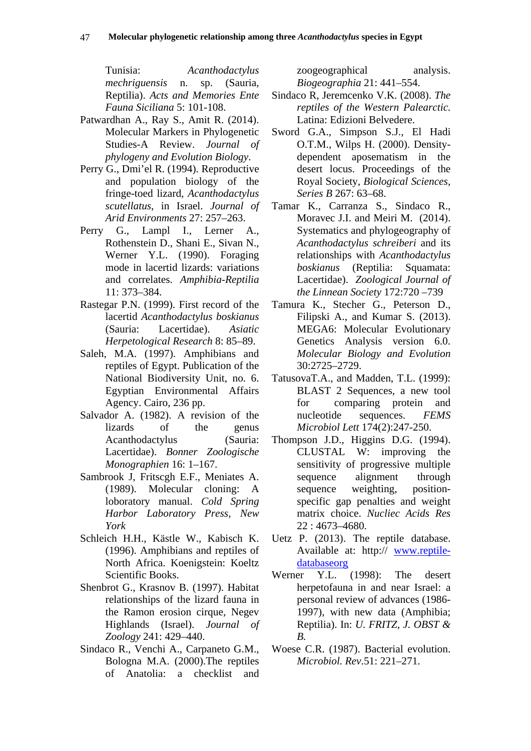Tunisia: *Acanthodactylus mechriguensis* n. sp. (Sauria, Reptilia). *Acts and Memories Ente Fauna Siciliana* 5: 101-108.

- Patwardhan A., Ray S., Amit R. (2014). Molecular Markers in Phylogenetic Studies-A Review. *Journal of phylogeny and Evolution Biology*.
- Perry G., Dmi'el R. (1994). Reproductive and population biology of the fringe-toed lizard, *Acanthodactylus scutellatus*, in Israel. *Journal of Arid Environments* 27: 257–263.
- Perry G., Lampl I., Lerner A., Rothenstein D., Shani E., Sivan N., Werner Y.L. (1990). Foraging mode in lacertid lizards: variations and correlates. *Amphibia-Reptilia* 11: 373–384.
- Rastegar P.N. (1999). First record of the lacertid *Acanthodactylus boskianus*  (Sauria: Lacertidae). *Asiatic Herpetological Research* 8: 85–89.
- Saleh, M.A. (1997). Amphibians and reptiles of Egypt. Publication of the National Biodiversity Unit, no. 6. Egyptian Environmental Affairs Agency. Cairo, 236 pp.
- Salvador A. (1982). A revision of the lizards of the genus Acanthodactylus (Sauria: Lacertidae). *Bonner Zoologische Monographien* 16: 1–167.
- Sambrook J, Fritscgh E.F., Meniates A. (1989). Molecular cloning: A loboratory manual. *Cold Spring Harbor Laboratory Press, New York*
- Schleich H.H., Kästle W., Kabisch K. (1996). Amphibians and reptiles of North Africa. Koenigstein: Koeltz Scientific Books.
- Shenbrot G., Krasnov B. (1997). Habitat relationships of the lizard fauna in the Ramon erosion cirque, Negev Highlands (Israel). *Journal of Zoology* 241: 429–440.
- Sindaco R., Venchi A., Carpaneto G.M., Bologna M.A. (2000).The reptiles of Anatolia: a checklist and

zoogeographical analysis. *Biogeographia* 21: 441–554.

- Sindaco R, Jeremcenko V.K. (2008). *The reptiles of the Western Palearctic.* Latina: Edizioni Belvedere.
- Sword G.A., Simpson S.J., El Hadi O.T.M., Wilps H. (2000). Densitydependent aposematism in the desert locus. Proceedings of the Royal Society, *Biological Sciences, Series B* 267: 63–68.
- Tamar K., Carranza S., Sindaco R., Moravec J.I. and Meiri M. (2014). Systematics and phylogeography of *Acanthodactylus schreiberi* and its relationships with *Acanthodactylus boskianus* (Reptilia: Squamata: Lacertidae). *Zoological Journal of the Linnean Society* 172:720 –739
- Tamura K., Stecher G., Peterson D., Filipski A., and Kumar S. (2013). MEGA6: Molecular Evolutionary Genetics Analysis version 6.0. *Molecular Biology and Evolution* 30:2725–2729.
- TatusovaT.A., and Madden, T.L. (1999): BLAST 2 Sequences, a new tool for comparing protein and nucleotide sequences. *FEMS Microbiol Lett* 174(2):247-250.
- Thompson J.D., Higgins D.G. (1994). CLUSTAL W: improving the sensitivity of progressive multiple sequence alignment through sequence weighting, positionspecific gap penalties and weight matrix choice. *Nucliec Acids Res* 22 : 4673–4680.
- Uetz P. (2013). The reptile database. Available at: http:// www.reptiledatabaseorg
- Werner Y.L. (1998): The desert herpetofauna in and near Israel: a personal review of advances (1986- 1997), with new data (Amphibia; Reptilia). In: *U. FRITZ, J. OBST & B.*
- Woese C.R. (1987). Bacterial evolution. *Microbiol. Rev*.51: 221–271.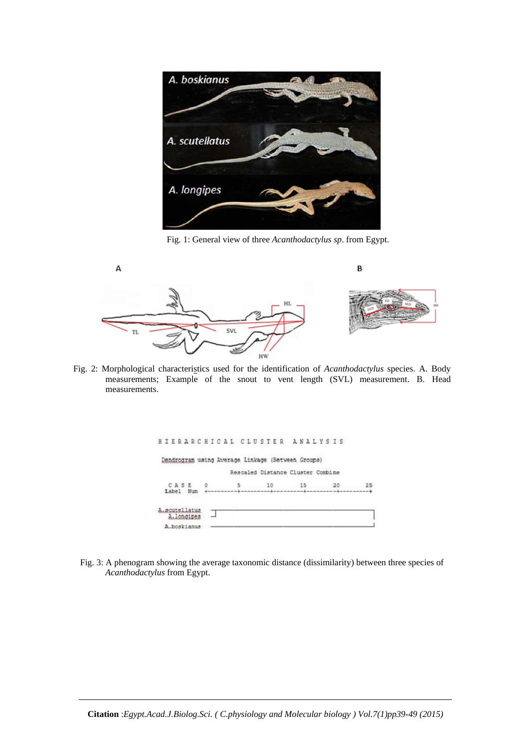

Fig. 1: General view of three *Acanthodactylus sp*. from Egypt.



Fig. 2: Morphological characteristics used for the identification of *Acanthodactylus* species. A. Body measurements; Example of the snout to vent length (SVL) measurement. B. Head measurements.

| HIERARCHICAL CLUSTER ANALYSIS |                                                   |                                   |    |
|-------------------------------|---------------------------------------------------|-----------------------------------|----|
|                               | Dendrogram using Average Linkage (Between Groups) |                                   |    |
|                               |                                                   | Rescaled Distance Cluster Combine |    |
| CASE<br>Label<br>Num          | 10                                                | 15                                | 25 |
| .scutellatus<br>A. longines   |                                                   |                                   |    |
| A.boskianus                   |                                                   |                                   |    |

Fig. 3: A phenogram showing the average taxonomic distance (dissimilarity) between three species of *Acanthodactylus* from Egypt.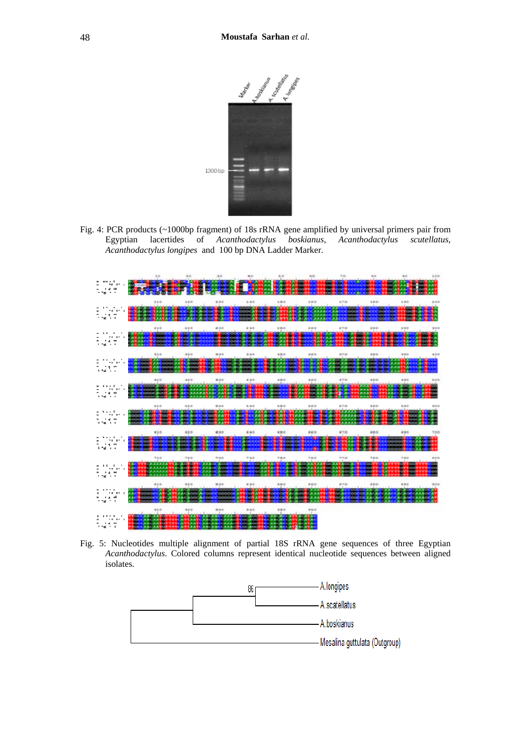

Fig. 4: PCR products (~1000bp fragment) of 18s rRNA gene amplified by universal primers pair from Egyptian lacertides of *Acanthodactylus boskianus*, *Acanthodactylus scutellatus, Acanthodactylus longipes* and 100 bp DNA Ladder Marker.



Fig. 5: Nucleotides multiple alignment of partial 18S rRNA gene sequences of three Egyptian *Acanthodactylus*. Colored columns represent identical nucleotide sequences between aligned isolates.